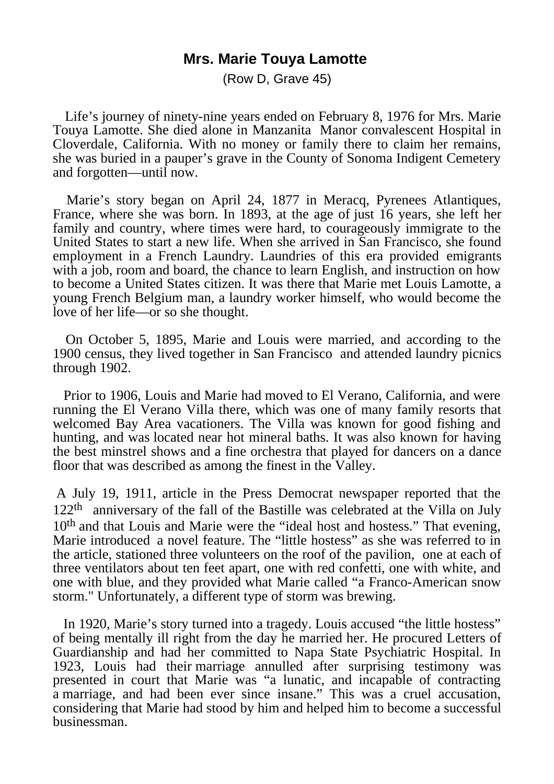## **Mrs. Marie Touya Lamotte**

(Row D, Grave 45)

Life's journey of ninety-nine years ended on February 8, 1976 for Mrs. Marie Touya Lamotte. She died alone in Manzanita Manor convalescent Hospital in Cloverdale, California. With no money or family there to claim her remains, she was buried in a pauper's grave in the County of Sonoma Indigent Cemetery and forgotten—until now.

Marie's story began on April 24, 1877 in Meracq, Pyrenees Atlantiques, France, where she was born. In 1893, at the age of just 16 years, she left her family and country, where times were hard, to courageously immigrate to the United States to start a new life. When she arrived in San Francisco, she found employment in a French Laundry. Laundries of this era provided emigrants with a job, room and board, the chance to learn English, and instruction on how to become a United States citizen. It was there that Marie met Louis Lamotte, a young French Belgium man, a laundry worker himself, who would become the love of her life—or so she thought.

On October 5, 1895, Marie and Louis were married, and according to the 1900 census, they lived together in San Francisco and attended laundry picnics through 1902.

Prior to 1906, Louis and Marie had moved to El Verano, California, and were running the El Verano Villa there, which was one of many family resorts that welcomed Bay Area vacationers. The Villa was known for good fishing and hunting, and was located near hot mineral baths. It was also known for having the best minstrel shows and a fine orchestra that played for dancers on a dance floor that was described as among the finest in the Valley.

A July 19, 1911, article in the Press Democrat newspaper reported that the 122<sup>th</sup> anniversary of the fall of the Bastille was celebrated at the Villa on July 10<sup>th</sup> and that Louis and Marie were the "ideal host and hostess." That evening, Marie introduced a novel feature. The "little hostess" as she was referred to in the article, stationed three volunteers on the roof of the pavilion, one at each of three ventilators about ten feet apart, one with red confetti, one with white, and one with blue, and they provided what Marie called "a Franco-American snow storm." Unfortunately, a different type of storm was brewing.

In 1920, Marie's story turned into a tragedy. Louis accused "the little hostess" of being mentally ill right from the day he married her. He procured Letters of Guardianship and had her committed to Napa State Psychiatric Hospital. In 1923, Louis had their marriage annulled after surprising testimony was presented in court that Marie was "a lunatic, and incapable of contracting a marriage, and had been ever since insane." This was a cruel accusation, considering that Marie had stood by him and helped him to become a successful businessman.